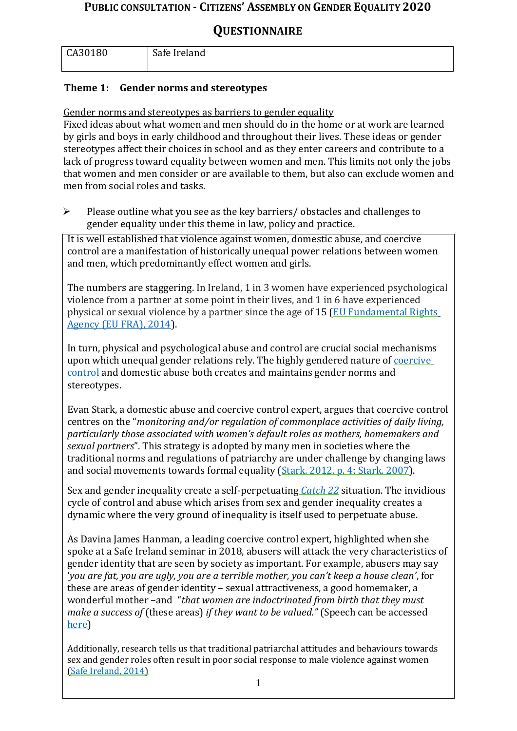# **QUESTIONNAIRE**

| CA30180 | Safe Ireland |
|---------|--------------|
|         |              |

# **Theme 1: Gender norms and stereotypes**

Gender norms and stereotypes as barriers to gender equality

Fixed ideas about what women and men should do in the home or at work are learned by girls and boys in early childhood and throughout their lives. These ideas or gender stereotypes affect their choices in school and as they enter careers and contribute to a lack of progress toward equality between women and men. This limits not only the jobs that women and men consider or are available to them, but also can exclude women and men from social roles and tasks.

 $\triangleright$  Please outline what you see as the key barriers/obstacles and challenges to gender equality under this theme in law, policy and practice.

It is well established that violence against women, domestic abuse, and coercive control are a manifestation of historically unequal power relations between women and men, which predominantly effect women and girls.

The numbers are staggering. In Ireland, 1 in 3 women have experienced psychological violence from a partner at some point in their lives, and 1 in 6 have experienced physical or sexual violence by a partner since the age of 15 [\(EU Fundamental Rights](https://fra.europa.eu/en/publications-and-resources/data-and-maps/survey-data-explorer-violence-against-women-survey) [Agency \(EU FRA\), 2014\)](https://fra.europa.eu/en/publications-and-resources/data-and-maps/survey-data-explorer-violence-against-women-survey).

In turn, physical and psychological abuse and control are crucial social mechanisms upon which unequal gender relations rely. The highly gendered nature of [coercive](https://www.safeireland.ie/wp-content/uploads/coercive-control-leaflet-A6-folded-proof-v2.pdf) [control](https://www.safeireland.ie/wp-content/uploads/coercive-control-leaflet-A6-folded-proof-v2.pdf) and domestic abuse both creates and maintains gender norms and stereotypes.

Evan Stark, a domestic abuse and coercive control expert, argues that coercive control centres on the "*monitoring and/or regulation of commonplace activities of daily living, particularly those associated with women's default roles as mothers, homemakers and sexual partners*". This strategy is adopted by many men in societies where the traditional norms and regulations of patriarchy are under challenge by changing laws and social movements towards formal equality [\(Stark, 2012, p. 4;](http://www.stopvaw.org/uploads/evan_stark_article_final_100812.pdf) [Stark, 2007\)](https://books.google.ie/books/about/Coercive_Control.html?id=DvbhBwAAQBAJ&printsec=frontcover&source=kp_read_button&redir_esc=y%23v%3Donepage&q&f=false).

Sex and gender inequality create a self-perpetuating *[Catch 22](https://en.wikipedia.org/wiki/Catch-22_(logic))* situation. The invidious cycle of control and abuse which arises from sex and gender inequality creates a dynamic where the very ground of inequality is itself used to perpetuate abuse.

As Davina James Hanman, a leading coercive control expert, highlighted when she spoke at a Safe Ireland seminar in 2018, abusers will attack the very characteristics of gender identity that are seen by society as important. For example, abusers may say '*you are fat, you are ugly, you are a terrible mother, you can't keep a house clean'*, for these are areas of gender identity – sexual attractiveness, a good homemaker, a wonderful mother –and "*that women are indoctrinated from birth that they must make a success of* (these areas) *if they want to be valued."* (Speech can be accessed [here\)](https://www.safeireland.ie/wp-content/uploads/Safe-Ireland-Event-Davina-James-Hanman-Speech.pdf)

Additionally, research tells us that traditional patriarchal attitudes and behaviours towards sex and gender roles often result in poor social response to male violence against women [\(Safe Ireland, 2014\)](https://www.safeireland.ie/policy-publications/%23dflip-df_5238/1/)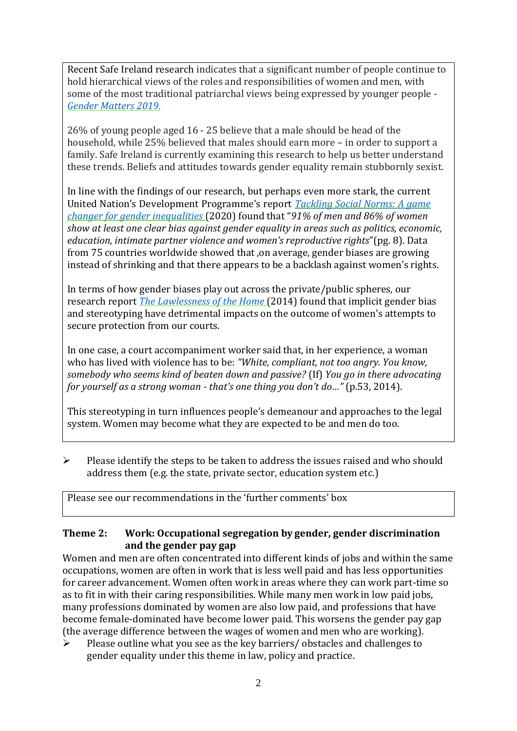Recent Safe Ireland research indicates that a significant number of people continue to hold hierarchical views of the roles and responsibilities of women and men, with some of the most traditional patriarchal views being expressed by younger people - *[Gender Matters 2019.](https://www.safeireland.ie/policy-publications/%23dflip-df_7296/1/)*

26% of young people aged 16 - 25 believe that a male should be head of the household, while 25% believed that males should earn more – in order to support a family. Safe Ireland is currently examining this research to help us better understand these trends. Beliefs and attitudes towards gender equality remain stubbornly sexist.

In line with the findings of our research, but perhaps even more stark, the current United Nation's Development Programme's report *[Tackling Social Norms: A game](http://hdr.undp.org/sites/default/files/hd_perspectives_gsni.pdf) [changer for gender inequalities](http://hdr.undp.org/sites/default/files/hd_perspectives_gsni.pdf)* (2020) found that "*91% of men and 86% of women show at least one clear bias against gender equality in areas such as politics, economic, education, intimate partner violence and women's reproductive rights*"(pg. 8). Data from 75 countries worldwide showed that ,on average, gender biases are growing instead of shrinking and that there appears to be a backlash against women's rights.

In terms of how gender biases play out across the private/public spheres, our research report *[The Lawlessness of the Home](https://www.safeireland.ie/policy-publications/%23dflip-df_5238/1/)* (2014) found that implicit gender bias and stereotyping have detrimental impacts on the outcome of women's attempts to secure protection from our courts.

In one case, a court accompaniment worker said that, in her experience, a woman who has lived with violence has to be: *"White, compliant, not too angry. You know, somebody who seems kind of beaten down and passive?* (If) *You go in there advocating for yourself as a strong woman - that's one thing you don't do…"* (p.53, 2014).

This stereotyping in turn influences people's demeanour and approaches to the legal system. Women may become what they are expected to be and men do too.

 $\triangleright$  Please identify the steps to be taken to address the issues raised and who should address them (e.g. the state, private sector, education system etc.)

Please see our recommendations in the 'further comments' box

#### **Theme 2: Work: Occupational segregation by gender, gender discrimination and the gender pay gap**

Women and men are often concentrated into different kinds of jobs and within the same occupations, women are often in work that is less well paid and has less opportunities for career advancement. Women often work in areas where they can work part-time so as to fit in with their caring responsibilities. While many men work in low paid jobs, many professions dominated by women are also low paid, and professions that have become female-dominated have become lower paid. This worsens the gender pay gap (the average difference between the wages of women and men who are working).

 $\triangleright$  Please outline what you see as the key barriers/ obstacles and challenges to gender equality under this theme in law, policy and practice.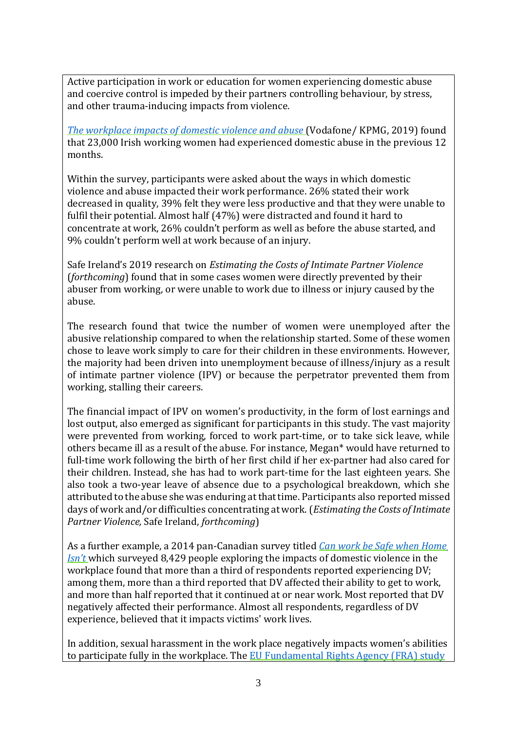Active participation in work or education for women experiencing domestic abuse and coercive control is impeded by their partners controlling behaviour, by stress, and other trauma-inducing impacts from violence.

*[The workplace impacts of domestic violence and abuse](https://www.vodafone.com/content/dam/vodcom/images/homepage/kpmg_report_workplace_impacts_of_domestic_violence_and_abuse.pdf)* (Vodafone/ KPMG, 2019) found that 23,000 Irish working women had experienced domestic abuse in the previous 12 months.

Within the survey, participants were asked about the ways in which domestic violence and abuse impacted their work performance. 26% stated their work decreased in quality, 39% felt they were less productive and that they were unable to fulfil their potential. Almost half (47%) were distracted and found it hard to concentrate at work, 26% couldn't perform as well as before the abuse started, and 9% couldn't perform well at work because of an injury.

Safe Ireland's 2019 research on *Estimating the Costs of Intimate Partner Violence*  (*forthcoming*) found that in some cases women were directly prevented by their abuser from working, or were unable to work due to illness or injury caused by the abuse.

The research found that twice the number of women were unemployed after the abusive relationship compared to when the relationship started. Some of these women chose to leave work simply to care for their children in these environments. However, the majority had been driven into unemployment because of illness/injury as a result of intimate partner violence (IPV) or because the perpetrator prevented them from working, stalling their careers.

The financial impact of IPV on women's productivity, in the form of lost earnings and lost output, also emerged as significant for participants in this study. The vast majority were prevented from working, forced to work part-time, or to take sick leave, while others became ill as a result of the abuse. For instance, Megan\* would have returned to full-time work following the birth of her first child if her ex-partner had also cared for their children. Instead, she has had to work part-time for the last eighteen years. She also took a two-year leave of absence due to a psychological breakdown, which she attributed to the abuse she was enduring at thattime. Participants also reported missed days of work and/or difficulties concentrating atwork. (*Estimating the Costs of Intimate Partner Violence,* Safe Ireland, *forthcoming*)

As a further example, a 2014 pan-Canadian survey titled *[Can work be Safe when Home](http://makeitourbusiness.ca/sites/makeitourbusiness.ca/files/DVWork_Survey_Report_2014_EN.pdf) [Isn't](http://makeitourbusiness.ca/sites/makeitourbusiness.ca/files/DVWork_Survey_Report_2014_EN.pdf)* which surveyed 8,429 people exploring the impacts of domestic violence in the workplace found that more than a third of respondents reported experiencing DV; among them, more than a third reported that DV affected their ability to get to work, and more than half reported that it continued at or near work. Most reported that DV negatively affected their performance. Almost all respondents, regardless of DV experience, believed that it impacts victims' work lives.

In addition, sexual harassment in the work place negatively impacts women's abilities to participate fully in the workplace. The [EU Fundamental Rights Agency \(FRA\)](https://fra.europa.eu/en/publications-and-resources/data-and-maps/survey-data-explorer-violence-against-women-survey) study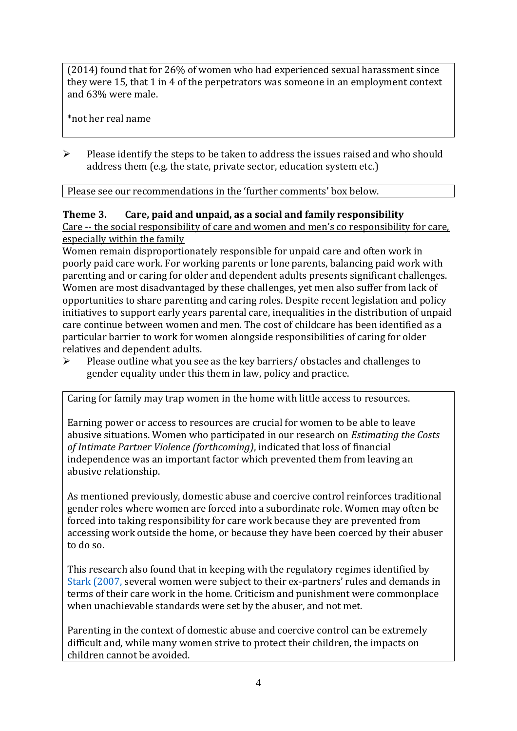(2014) found that for 26% of women who had experienced sexual harassment since they were 15, that 1 in 4 of the perpetrators was someone in an employment context and 63% were male.

\*not her real name

 $\triangleright$  Please identify the steps to be taken to address the issues raised and who should address them (e.g. the state, private sector, education system etc.)

Please see our recommendations in the 'further comments' box below.

#### **Theme 3. Care, paid and unpaid, as a social and family responsibility**

Care -- the social responsibility of care and women and men's co responsibility for care, especially within the family

Women remain disproportionately responsible for unpaid care and often work in poorly paid care work. For working parents or [lone parents, b](https://aran.library.nuigalway.ie/bitstream/handle/10379/6044/Millar_and_Crosse_Activation_Report.pdf?sequence=1&isAllowed=y)alancing paid work with parenting and or caring for older and dependent adults presents significant challenges. Women are [most disadvantaged by these challenges, y](https://eige.europa.eu/gender-equality-index/game/IE/W)et men also suffer from lack of opportunities to share parenting and caring roles. Despite recent legislation and policy initiatives to support early years parental care, [inequalities in the distribution of unpaid](https://www.ihrec.ie/app/uploads/2019/07/Caring-and-Unpaid-Work-in-Ireland_Final.pdf) [care c](https://www.ihrec.ie/app/uploads/2019/07/Caring-and-Unpaid-Work-in-Ireland_Final.pdf)ontinue between women and men. The cost of childcare has been identified as a particular barrier to work for women alongside responsibilities of caring for older relatives and dependent adults.

 $\triangleright$  Please outline what you see as the key barriers/ obstacles and challenges to gender equality under this them in law, policy and practice.

Caring for family may trap women in the home with little access to resources.

Earning power or access to resources are crucial for women to be able to leave abusive situations. Women who participated in our research on *Estimating the Costs of Intimate Partner Violence (forthcoming)*, indicated that loss of financial independence was an important factor which prevented them from leaving an abusive relationship.

As mentioned previously, domestic abuse and coercive control reinforces traditional gender roles where women are forced into a subordinate role. Women may often be forced into taking responsibility for care work because they are prevented from accessing work outside the home, or because they have been coerced by their abuser to do so.

This research also found that in keeping with the regulatory regimes identified by [Stark \(2007,](https://books.google.ie/books/about/Coercive_Control.html?id=DvbhBwAAQBAJ&printsec=frontcover&source=kp_read_button&redir_esc=y%23v%3Donepage&q&f=false) several women were subject to their ex-partners' rules and demands in terms of their care work in the home. Criticism and punishment were commonplace when unachievable standards were set by the abuser, and not met.

Parenting in the context of domestic abuse and coercive control can be extremely difficult and, while many women strive to protect their children, the impacts on children cannot be avoided.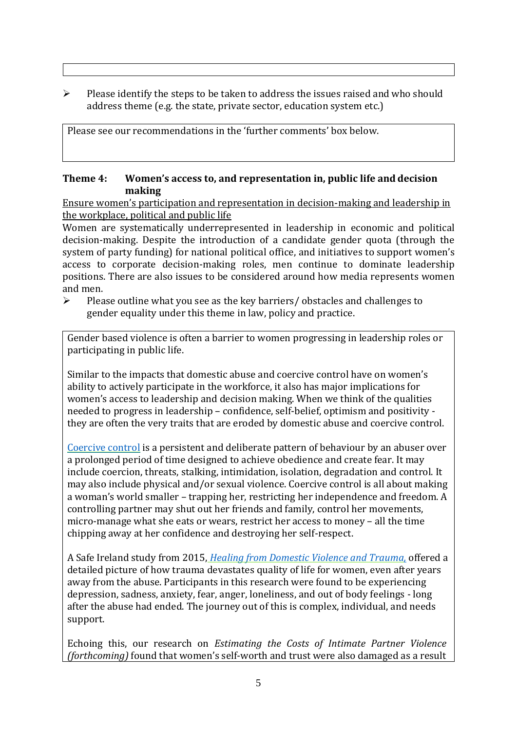$\triangleright$  Please identify the steps to be taken to address the issues raised and who should address theme (e.g. the state, private sector, education system etc.)

Please see our recommendations in the 'further comments' box below.

#### **Theme 4: Women's access to, and representation in, public life and decision making**

Ensure women's participation and representation in decision-making and leadership in the workplace, political and public life

Women are systematically underrepresented in leadership in [economic](https://eige.europa.eu/gender-equality-index/2019/compare-countries/power/2/bar) and [political](https://eige.europa.eu/gender-equality-index/2019/compare-countries/power/1/bar) [decision-](https://eige.europa.eu/gender-equality-index/2019/compare-countries/power/1/bar)making. Despite the introduction of a candidate gender quota (through the system of party funding) for national political office, and [initiatives](https://betterbalance.ie/) to support women's access to corporate decision-making roles, men continue to dominate leadership positions. There are also issues to be considered around how media represents women and men.

 $\triangleright$  Please outline what you see as the key barriers/ obstacles and challenges to gender equality under this theme in law, policy and practice.

Gender based violence is often a barrier to women progressing in leadership roles or participating in public life.

Similar to the impacts that domestic abuse and coercive control have on women's ability to actively participate in the workforce, it also has major implications for women's access to leadership and decision making. When we think of the qualities needed to progress in leadership – confidence, self-belief, optimism and positivity they are often the very traits that are eroded by domestic abuse and coercive control.

[Coercive control](https://www.safeireland.ie/wp-content/uploads/coercive-control-leaflet-A6-folded-proof-v2.pdf) is a persistent and deliberate pattern of behaviour by an abuser over a prolonged period of time designed to achieve obedience and create fear. It may include coercion, threats, stalking, intimidation, isolation, degradation and control. It may also include physical and/or sexual violence. Coercive control is all about making a woman's world smaller – trapping her, restricting her independence and freedom. A controlling partner may shut out her friends and family, control her movements, micro-manage what she eats or wears, restrict her access to money – all the time chipping away at her confidence and destroying her self-respect.

A Safe Ireland study from 2015, *[Healing from Domestic Violence and Trauma,](https://www.safeireland.ie/policy-publications/%23dflip-df_5277/1/)* offered a detailed picture of how trauma devastates quality of life for women, even after years away from the abuse. Participants in this research were found to be experiencing depression, sadness, anxiety, fear, anger, loneliness, and out of body feelings - long after the abuse had ended. The journey out of this is complex, individual, and needs support.

Echoing this, our research on *Estimating the Costs of Intimate Partner Violence (forthcoming)* found that women's self-worth and trust were also damaged as a result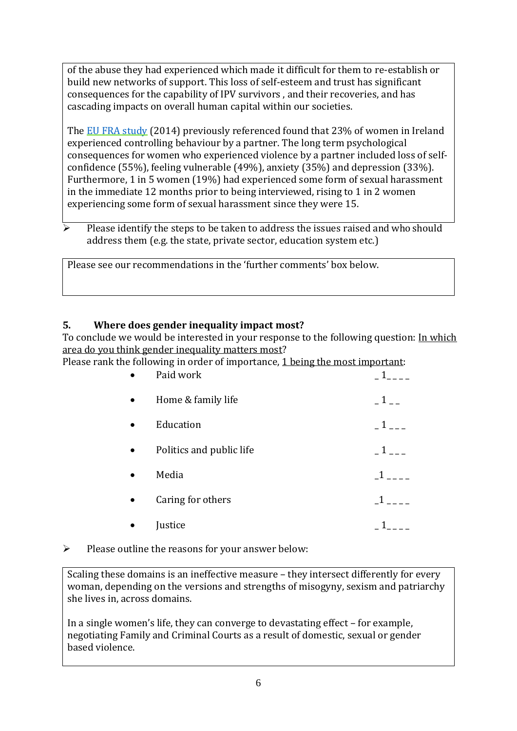of the abuse they had experienced which made it difficult for them to re-establish or build new networks of support. This loss of self-esteem and trust has significant consequences for the capability of IPV survivors , and their recoveries, and has cascading impacts on overall human capital within our societies.

The [EU FRA study](https://fra.europa.eu/en/publications-and-resources/data-and-maps/survey-data-explorer-violence-against-women-survey) (2014) previously referenced found that 23% of women in Ireland experienced controlling behaviour by a partner. The long term psychological consequences for women who experienced violence by a partner included loss of selfconfidence (55%), feeling vulnerable (49%), anxiety (35%) and depression (33%). Furthermore, 1 in 5 women (19%) had experienced some form of sexual harassment in the immediate 12 months prior to being interviewed, rising to 1 in 2 women experiencing some form of sexual harassment since they were 15.

 Please identify the steps to be taken to address the issues raised and who should address them (e.g. the state, private sector, education system etc.)

Please see our recommendations in the 'further comments' box below.

## **5. Where does gender inequality impact most?**

To conclude we would be interested in your response to the following question: In which area do you think gender inequality matters most?

Please rank the following in order of importance, 1 being the most important:

| Paid work                |                    |
|--------------------------|--------------------|
| Home & family life       |                    |
| Education                | $1$ <sub>---</sub> |
| Politics and public life | $1_{--}$           |
| Media                    | $\mathbf{1}$ .     |
| Caring for others        |                    |
| Justice                  |                    |

 $\triangleright$  Please outline the reasons for your answer below:

Scaling these domains is an ineffective measure – they intersect differently for every woman, depending on the versions and strengths of misogyny, sexism and patriarchy she lives in, across domains.

In a single women's life, they can converge to devastating effect – for example, negotiating Family and Criminal Courts as a result of domestic, sexual or gender based violence.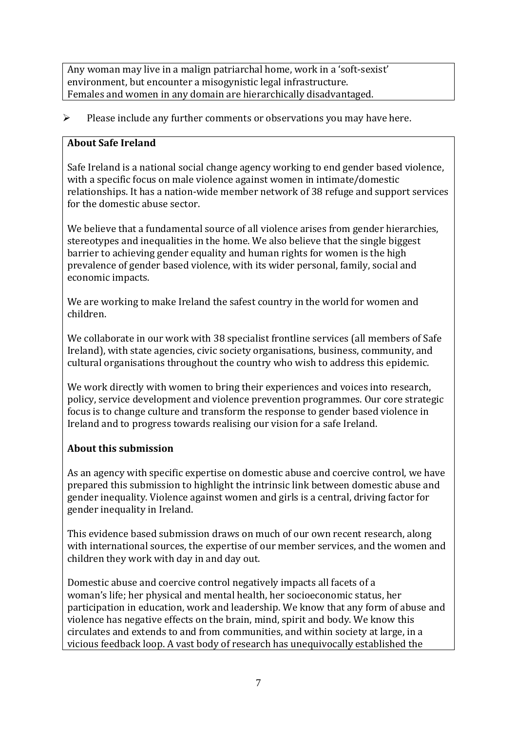Any woman may live in a malign patriarchal home, work in a 'soft-sexist' environment, but encounter a misogynistic legal infrastructure. Females and women in any domain are hierarchically disadvantaged.

 $\triangleright$  Please include any further comments or observations you may have here.

### **About Safe Ireland**

Safe Ireland is a national social change agency working to end gender based violence, with a specific focus on male violence against women in intimate/domestic relationships. It has a nation-wide member network of 38 refuge and support services for the domestic abuse sector.

We believe that a fundamental source of all violence arises from gender hierarchies, stereotypes and inequalities in the home. We also believe that the single biggest barrier to achieving gender equality and human rights for women is the high prevalence of gender based violence, with its wider personal, family, social and economic impacts.

We are working to make Ireland the safest country in the world for women and children.

We collaborate in our work with 38 specialist frontline services (all members of Safe Ireland), with state agencies, civic society organisations, business, community, and cultural organisations throughout the country who wish to address this epidemic.

We work directly with women to bring their experiences and voices into research, policy, service development and violence prevention programmes. Our core strategic focus is to change culture and transform the response to gender based violence in Ireland and to progress towards realising our vision for a safe Ireland.

## **About this submission**

As an agency with specific expertise on domestic abuse and coercive control, we have prepared this submission to highlight the intrinsic link between domestic abuse and gender inequality. Violence against women and girls is a central, driving factor for gender inequality in Ireland.

This evidence based submission draws on much of our own recent research, along with international sources, the expertise of our member services, and the women and children they work with day in and day out.

Domestic abuse and coercive control negatively impacts all facets of a woman's life; her physical and mental health, her socioeconomic status, her participation in education, work and leadership. We know that any form of abuse and violence has negative effects on the brain, mind, spirit and body. We know this circulates and extends to and from communities, and within society at large, in a vicious feedback loop. A vast body of research has unequivocally established the